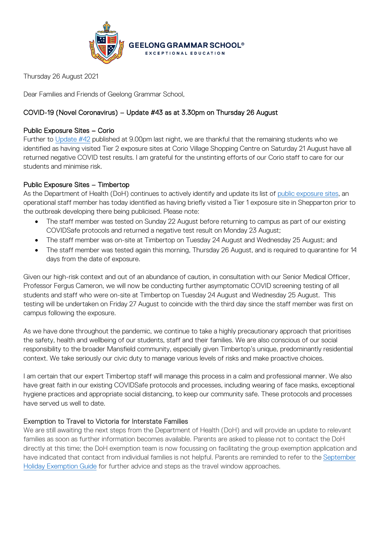

Thursday 26 August 2021

Dear Families and Friends of Geelong Grammar School,

# COVID-19 (Novel Coronavirus) – Update #43 as at 3.30pm on Thursday 26 August

## Public Exposure Sites – Corio

Further to [Update #42](https://www.ggs.vic.edu.au/ArticleDocuments/1007/Coronavirus%20Update%2042_250821.pdf.aspx) published at 9.00pm last night, we are thankful that the remaining students who we identified as having visited Tier 2 exposure sites at Corio Village Shopping Centre on Saturday 21 August have all returned negative COVID test results. I am grateful for the unstinting efforts of our Corio staff to care for our students and minimise risk.

# Public Exposure Sites – Timbertop

As the Department of Health (DoH) continues to actively identify and update its list of [public exposure sites,](https://www.coronavirus.vic.gov.au/exposure-sites) an operational staff member has today identified as having briefly visited a Tier 1 exposure site in Shepparton prior to the outbreak developing there being publicised. Please note:

- The staff member was tested on Sunday 22 August before returning to campus as part of our existing COVIDSafe protocols and returned a negative test result on Monday 23 August;
- The staff member was on-site at Timbertop on Tuesday 24 August and Wednesday 25 August; and
- The staff member was tested again this morning, Thursday 26 August, and is required to quarantine for 14 days from the date of exposure.

Given our high-risk context and out of an abundance of caution, in consultation with our Senior Medical Officer, Professor Fergus Cameron, we will now be conducting further asymptomatic COVID screening testing of all students and staff who were on-site at Timbertop on Tuesday 24 August and Wednesday 25 August. This testing will be undertaken on Friday 27 August to coincide with the third day since the staff member was first on campus following the exposure.

As we have done throughout the pandemic, we continue to take a highly precautionary approach that prioritises the safety, health and wellbeing of our students, staff and their families. We are also conscious of our social responsibility to the broader Mansfield community, especially given Timbertop's unique, predominantly residential context. We take seriously our civic duty to manage various levels of risks and make proactive choices.

I am certain that our expert Timbertop staff will manage this process in a calm and professional manner. We also have great faith in our existing COVIDSafe protocols and processes, including wearing of face masks, exceptional hygiene practices and appropriate social distancing, to keep our community safe. These protocols and processes have served us well to date.

### Exemption to Travel to Victoria for Interstate Families

We are still awaiting the next steps from the Department of Health (DoH) and will provide an update to relevant families as soon as further information becomes available. Parents are asked to please not to contact the DoH directly at this time; the DoH exemption team is now focussing on facilitating the group exemption application and have indicated that contact from individual families is not helpful. Parents are reminded to refer to the [September](https://hive.ggs.vic.edu.au/homepage/6009)  [Holiday Exemption Guide](https://hive.ggs.vic.edu.au/homepage/6009) for further advice and steps as the travel window approaches.